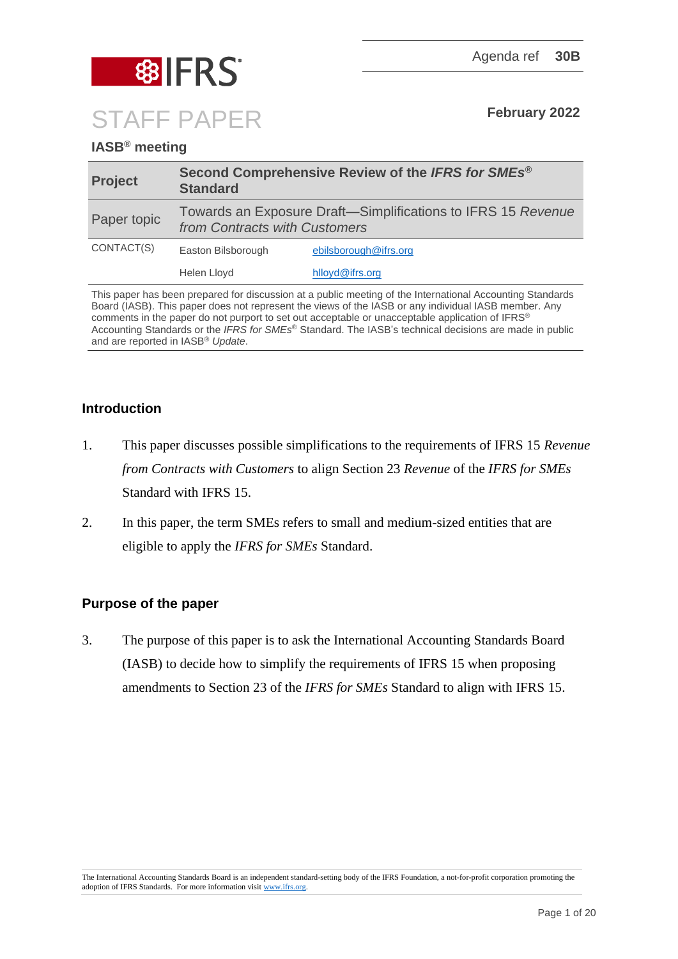

# **IASB® meeting**

| <b>Project</b> | Second Comprehensive Review of the IFRS for SMEs <sup>®</sup><br><b>Standard</b>              |                       |
|----------------|-----------------------------------------------------------------------------------------------|-----------------------|
| Paper topic    | Towards an Exposure Draft—Simplifications to IFRS 15 Revenue<br>from Contracts with Customers |                       |
| CONTACT(S)     | Easton Bilsborough                                                                            | ebilsborough@ifrs.org |
|                | Helen Lloyd                                                                                   | hlloyd@ifrs.org       |

This paper has been prepared for discussion at a public meeting of the International Accounting Standards Board (IASB). This paper does not represent the views of the IASB or any individual IASB member. Any comments in the paper do not purport to set out acceptable or unacceptable application of IFRS® Accounting Standards or the *IFRS for SMEs*® Standard. The IASB's technical decisions are made in public and are reported in IASB® *Update*.

## **Introduction**

- 1. This paper discusses possible simplifications to the requirements of IFRS 15 *Revenue from Contracts with Customers* to align Section 23 *Revenue* of the *IFRS for SMEs* Standard with IFRS 15.
- 2. In this paper, the term SMEs refers to small and medium-sized entities that are eligible to apply the *IFRS for SMEs* Standard.

# **Purpose of the paper**

3. The purpose of this paper is to ask the International Accounting Standards Board (IASB) to decide how to simplify the requirements of IFRS 15 when proposing amendments to Section 23 of the *IFRS for SMEs* Standard to align with IFRS 15.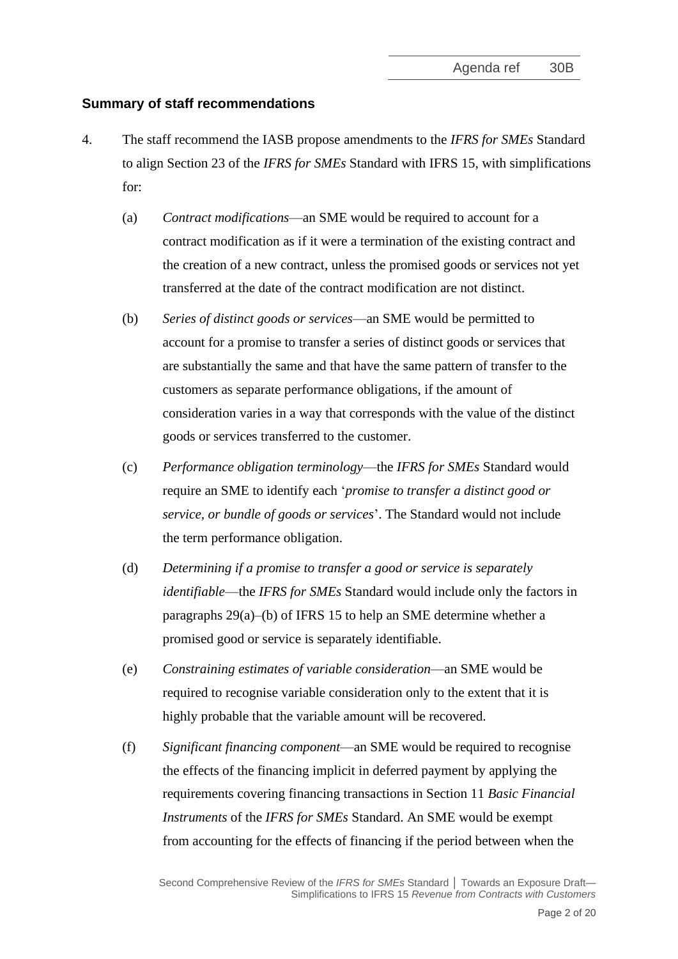## **Summary of staff recommendations**

- <span id="page-1-0"></span>4. The staff recommend the IASB propose amendments to the *IFRS for SMEs* Standard to align Section 23 of the *IFRS for SMEs* Standard with IFRS 15, with simplifications for:
	- (a) *Contract modifications*—an SME would be required to account for a contract modification as if it were a termination of the existing contract and the creation of a new contract, unless the promised goods or services not yet transferred at the date of the contract modification are not distinct.
	- (b) *Series of distinct goods or services*—an SME would be permitted to account for a promise to transfer a series of distinct goods or services that are substantially the same and that have the same pattern of transfer to the customers as separate performance obligations, if the amount of consideration varies in a way that corresponds with the value of the distinct goods or services transferred to the customer.
	- (c) *Performance obligation terminology*—the *IFRS for SMEs* Standard would require an SME to identify each '*promise to transfer a distinct good or service, or bundle of goods or services*'. The Standard would not include the term performance obligation.
	- (d) *Determining if a promise to transfer a good or service is separately identifiable*—the *IFRS for SMEs* Standard would include only the factors in paragraphs 29(a)–(b) of IFRS 15 to help an SME determine whether a promised good or service is separately identifiable.
	- (e) *Constraining estimates of variable consideration*—an SME would be required to recognise variable consideration only to the extent that it is highly probable that the variable amount will be recovered.
	- (f) *Significant financing component*—an SME would be required to recognise the effects of the financing implicit in deferred payment by applying the requirements covering financing transactions in Section 11 *Basic Financial Instruments* of the *IFRS for SMEs* Standard. An SME would be exempt from accounting for the effects of financing if the period between when the

Second Comprehensive Review of the *IFRS for SMEs* Standard **│** Towards an Exposure Draft— Simplifications to IFRS 15 *Revenue from Contracts with Customers*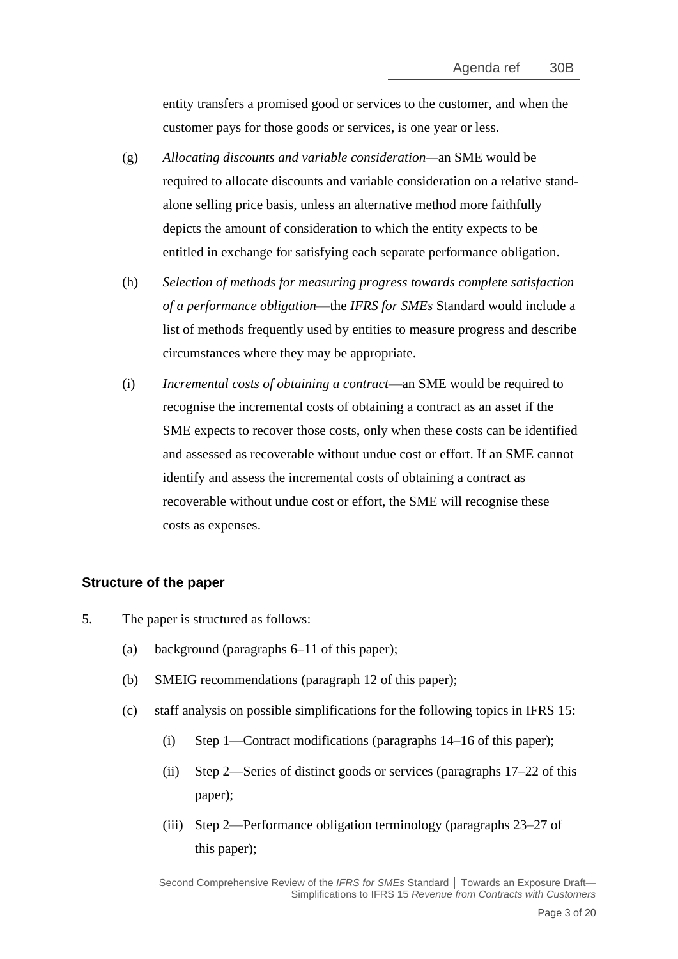entity transfers a promised good or services to the customer, and when the customer pays for those goods or services, is one year or less.

- (g) *Allocating discounts and variable consideration—*an SME would be required to allocate discounts and variable consideration on a relative standalone selling price basis, unless an alternative method more faithfully depicts the amount of consideration to which the entity expects to be entitled in exchange for satisfying each separate performance obligation.
- (h) *Selection of methods for measuring progress towards complete satisfaction of a performance obligation*—the *IFRS for SMEs* Standard would include a list of methods frequently used by entities to measure progress and describe circumstances where they may be appropriate.
- (i) *Incremental costs of obtaining a contract*—an SME would be required to recognise the incremental costs of obtaining a contract as an asset if the SME expects to recover those costs, only when these costs can be identified and assessed as recoverable without undue cost or effort. If an SME cannot identify and assess the incremental costs of obtaining a contract as recoverable without undue cost or effort, the SME will recognise these costs as expenses.

## **Structure of the paper**

- 5. The paper is structured as follows:
	- (a) background (paragraphs [6](#page-3-0)[–11](#page-5-0) of this paper);
	- (b) SMEIG recommendations (paragraph [12](#page-5-1) of this paper);
	- (c) staff analysis on possible simplifications for the following topics in IFRS 15:
		- (i) Step 1—Contract modifications (paragraphs [14–](#page-5-2)[16](#page-6-0) of this paper);
		- (ii) Step 2—Series of distinct goods or services (paragraphs [17](#page-6-1)[–22](#page-7-0) of this paper);
		- (iii) Step 2—Performance obligation terminology (paragraphs [23–](#page-8-0)[27](#page-9-0) of this paper);

Second Comprehensive Review of the *IFRS for SMEs* Standard **│** Towards an Exposure Draft— Simplifications to IFRS 15 *Revenue from Contracts with Customers*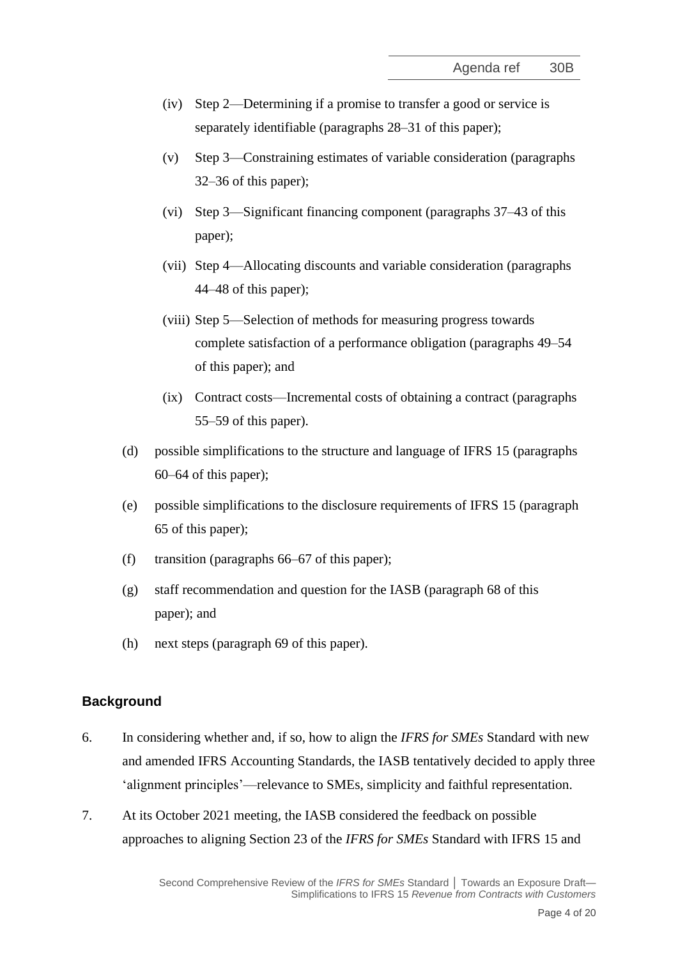- (iv) Step 2—Determining if a promise to transfer a good or service is separately identifiable (paragraphs [28](#page-9-1)[–31](#page-10-0) of this paper);
- (v) Step 3—Constraining estimates of variable consideration (paragraphs [32–](#page-10-1)[36](#page-11-0) of this paper);
- (vi) Step 3—Significant financing component (paragraphs [37](#page-12-0)[–43](#page-13-0) of this paper);
- (vii) Step 4—Allocating discounts and variable consideration (paragraphs [44–](#page-13-1)[48](#page-14-0) of this paper);
- (viii) Step 5—Selection of methods for measuring progress towards complete satisfaction of a performance obligation (paragraphs [49](#page-15-0)[–54](#page-16-0) of this paper); and
- (ix) Contract costs—Incremental costs of obtaining a contract (paragraphs [55–](#page-16-1)[59](#page-17-0) of this paper).
- (d) possible simplifications to the structure and language of IFRS 15 (paragraphs [60–](#page-17-1)[64](#page-18-0) of this paper);
- (e) possible simplifications to the disclosure requirements of IFRS 15 (paragraph [65](#page-18-1) of this paper);
- (f) transition (paragraphs [66–](#page-19-0)[67](#page-19-1) of this paper);
- (g) staff recommendation and question for the IASB (paragraph [68](#page-19-2) of this paper); and
- (h) next steps (paragraph [69](#page-19-3) of this paper).

#### **Background**

- <span id="page-3-0"></span>6. In considering whether and, if so, how to align the *IFRS for SMEs* Standard with new and amended IFRS Accounting Standards, the IASB tentatively decided to apply three 'alignment principles'—relevance to SMEs, simplicity and faithful representation.
- 7. At its October 2021 meeting, the IASB considered the feedback on possible approaches to aligning Section 23 of the *IFRS for SMEs* Standard with IFRS 15 and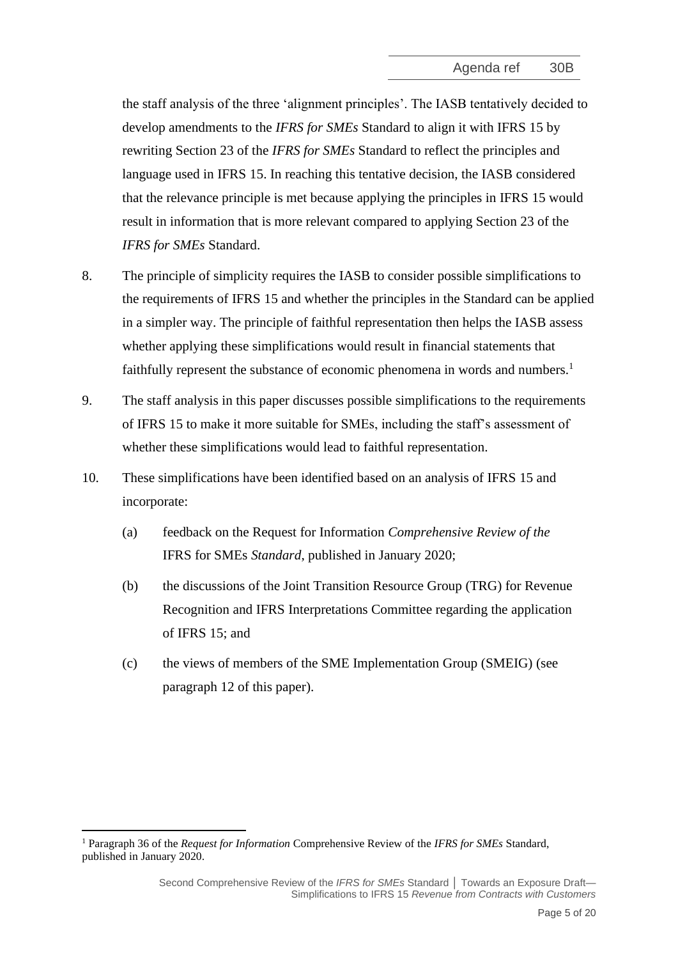the staff analysis of the three 'alignment principles'. The IASB tentatively decided to develop amendments to the *IFRS for SMEs* Standard to align it with IFRS 15 by rewriting Section 23 of the *IFRS for SMEs* Standard to reflect the principles and language used in IFRS 15. In reaching this tentative decision, the IASB considered that the relevance principle is met because applying the principles in IFRS 15 would result in information that is more relevant compared to applying Section 23 of the *IFRS for SMEs* Standard.

- 8. The principle of simplicity requires the IASB to consider possible simplifications to the requirements of IFRS 15 and whether the principles in the Standard can be applied in a simpler way. The principle of faithful representation then helps the IASB assess whether applying these simplifications would result in financial statements that faithfully represent the substance of economic phenomena in words and numbers.<sup>1</sup>
- 9. The staff analysis in this paper discusses possible simplifications to the requirements of IFRS 15 to make it more suitable for SMEs, including the staff's assessment of whether these simplifications would lead to faithful representation.
- 10. These simplifications have been identified based on an analysis of IFRS 15 and incorporate:
	- (a) feedback on the Request for Information *Comprehensive Review of the* IFRS for SMEs *Standard*, published in January 2020;
	- (b) the discussions of the Joint Transition Resource Group (TRG) for Revenue Recognition and IFRS Interpretations Committee regarding the application of IFRS 15; and
	- (c) the views of members of the SME Implementation Group (SMEIG) (see paragraph [12](#page-5-1) of this paper).

<sup>1</sup> Paragraph 36 of the *Request for Information* Comprehensive Review of the *IFRS for SMEs* Standard, published in January 2020.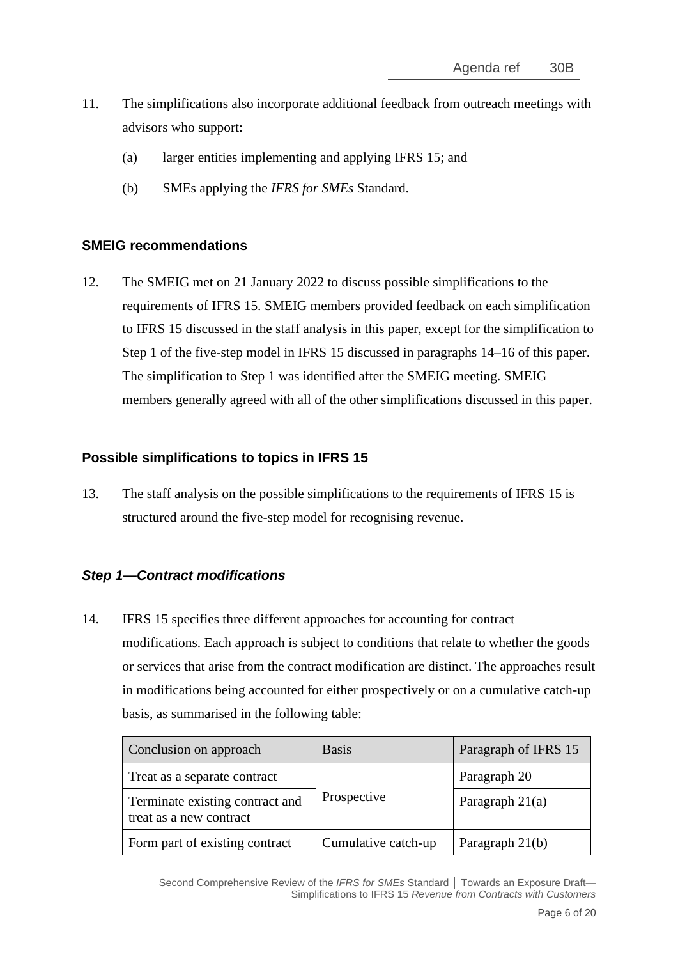- <span id="page-5-0"></span>11. The simplifications also incorporate additional feedback from outreach meetings with advisors who support:
	- (a) larger entities implementing and applying IFRS 15; and
	- (b) SMEs applying the *IFRS for SMEs* Standard.

#### **SMEIG recommendations**

<span id="page-5-1"></span>12. The SMEIG met on 21 January 2022 to discuss possible simplifications to the requirements of IFRS 15. SMEIG members provided feedback on each simplification to IFRS 15 discussed in the staff analysis in this paper, except for the simplification to Step 1 of the five-step model in IFRS 15 discussed in paragraphs [14](#page-5-2)[–16](#page-6-0) of this paper. The simplification to Step 1 was identified after the SMEIG meeting. SMEIG members generally agreed with all of the other simplifications discussed in this paper.

#### **Possible simplifications to topics in IFRS 15**

13. The staff analysis on the possible simplifications to the requirements of IFRS 15 is structured around the five-step model for recognising revenue.

## *Step 1—Contract modifications*

<span id="page-5-2"></span>14. IFRS 15 specifies three different approaches for accounting for contract modifications. Each approach is subject to conditions that relate to whether the goods or services that arise from the contract modification are distinct. The approaches result in modifications being accounted for either prospectively or on a cumulative catch-up basis, as summarised in the following table:

| Conclusion on approach                                     | <b>Basis</b>        | Paragraph of IFRS 15 |
|------------------------------------------------------------|---------------------|----------------------|
| Treat as a separate contract                               | Prospective         | Paragraph 20         |
| Terminate existing contract and<br>treat as a new contract |                     | Paragraph $21(a)$    |
| Form part of existing contract                             | Cumulative catch-up | Paragraph $21(b)$    |

Second Comprehensive Review of the IFRS for SMEs Standard | Towards an Exposure Draft-Simplifications to IFRS 15 *Revenue from Contracts with Customers*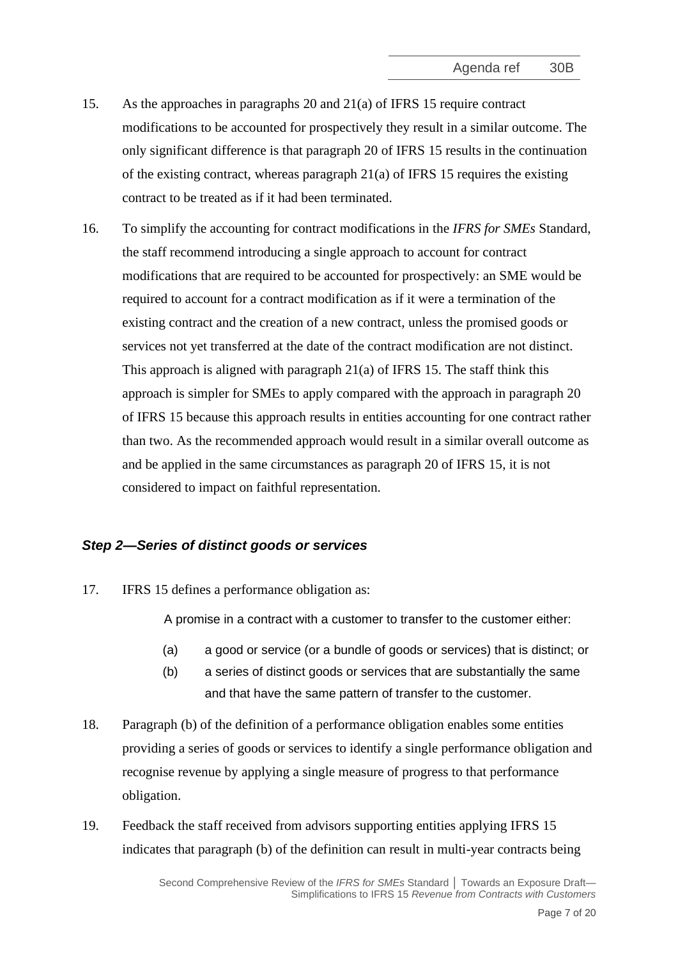- 15. As the approaches in paragraphs 20 and 21(a) of IFRS 15 require contract modifications to be accounted for prospectively they result in a similar outcome. The only significant difference is that paragraph 20 of IFRS 15 results in the continuation of the existing contract, whereas paragraph 21(a) of IFRS 15 requires the existing contract to be treated as if it had been terminated.
- <span id="page-6-0"></span>16. To simplify the accounting for contract modifications in the *IFRS for SMEs* Standard, the staff recommend introducing a single approach to account for contract modifications that are required to be accounted for prospectively: an SME would be required to account for a contract modification as if it were a termination of the existing contract and the creation of a new contract, unless the promised goods or services not yet transferred at the date of the contract modification are not distinct. This approach is aligned with paragraph  $21(a)$  of IFRS 15. The staff think this approach is simpler for SMEs to apply compared with the approach in paragraph 20 of IFRS 15 because this approach results in entities accounting for one contract rather than two. As the recommended approach would result in a similar overall outcome as and be applied in the same circumstances as paragraph 20 of IFRS 15, it is not considered to impact on faithful representation.

# *Step 2—Series of distinct goods or services*

<span id="page-6-1"></span>17. IFRS 15 defines a performance obligation as:

A promise in a contract with a customer to transfer to the customer either:

- (a) a good or service (or a bundle of goods or services) that is distinct; or
- (b) a series of distinct goods or services that are substantially the same and that have the same pattern of transfer to the customer.
- 18. Paragraph (b) of the definition of a performance obligation enables some entities providing a series of goods or services to identify a single performance obligation and recognise revenue by applying a single measure of progress to that performance obligation.
- <span id="page-6-2"></span>19. Feedback the staff received from advisors supporting entities applying IFRS 15 indicates that paragraph (b) of the definition can result in multi-year contracts being

Second Comprehensive Review of the IFRS for SMEs Standard | Towards an Exposure Draft-Simplifications to IFRS 15 *Revenue from Contracts with Customers*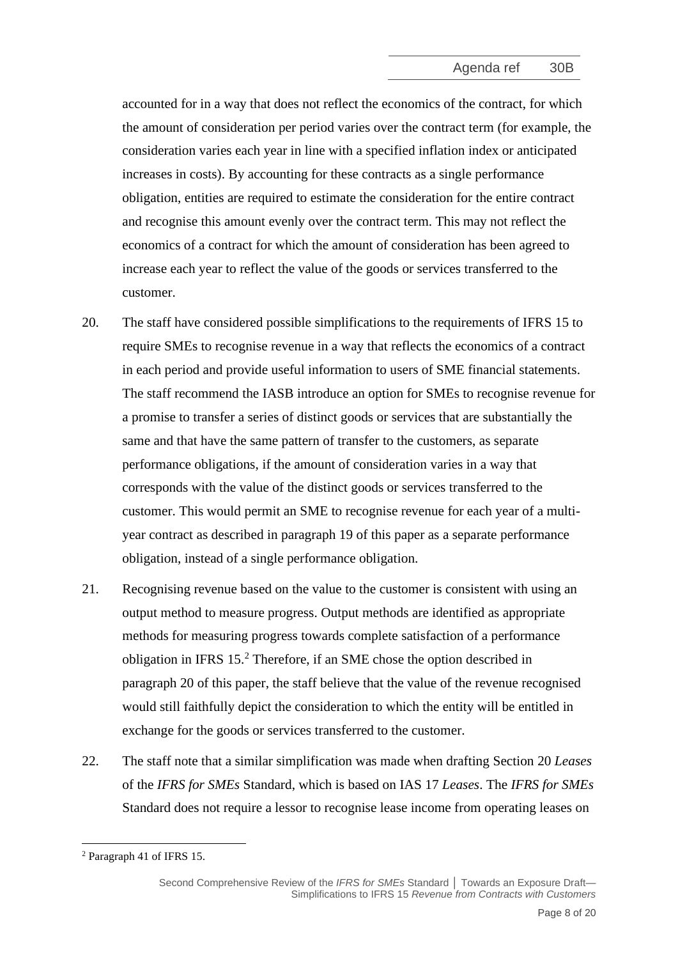accounted for in a way that does not reflect the economics of the contract, for which the amount of consideration per period varies over the contract term (for example, the consideration varies each year in line with a specified inflation index or anticipated increases in costs). By accounting for these contracts as a single performance obligation, entities are required to estimate the consideration for the entire contract and recognise this amount evenly over the contract term. This may not reflect the economics of a contract for which the amount of consideration has been agreed to increase each year to reflect the value of the goods or services transferred to the customer.

- 20. The staff have considered possible simplifications to the requirements of IFRS 15 to require SMEs to recognise revenue in a way that reflects the economics of a contract in each period and provide useful information to users of SME financial statements. The staff recommend the IASB introduce an option for SMEs to recognise revenue for a promise to transfer a series of distinct goods or services that are substantially the same and that have the same pattern of transfer to the customers, as separate performance obligations, if the amount of consideration varies in a way that corresponds with the value of the distinct goods or services transferred to the customer. This would permit an SME to recognise revenue for each year of a multiyear contract as described in paragraph [19](#page-6-2) of this paper as a separate performance obligation, instead of a single performance obligation.
- <span id="page-7-1"></span>21. Recognising revenue based on the value to the customer is consistent with using an output method to measure progress. Output methods are identified as appropriate methods for measuring progress towards complete satisfaction of a performance obligation in IFRS 15. <sup>2</sup> Therefore, if an SME chose the option described in paragraph [20](#page-7-1) of this paper, the staff believe that the value of the revenue recognised would still faithfully depict the consideration to which the entity will be entitled in exchange for the goods or services transferred to the customer.
- <span id="page-7-0"></span>22. The staff note that a similar simplification was made when drafting Section 20 *Leases* of the *IFRS for SMEs* Standard, which is based on IAS 17 *Leases*. The *IFRS for SMEs* Standard does not require a lessor to recognise lease income from operating leases on

<sup>2</sup> Paragraph 41 of IFRS 15.

Second Comprehensive Review of the IFRS for SMEs Standard | Towards an Exposure Draft-Simplifications to IFRS 15 *Revenue from Contracts with Customers*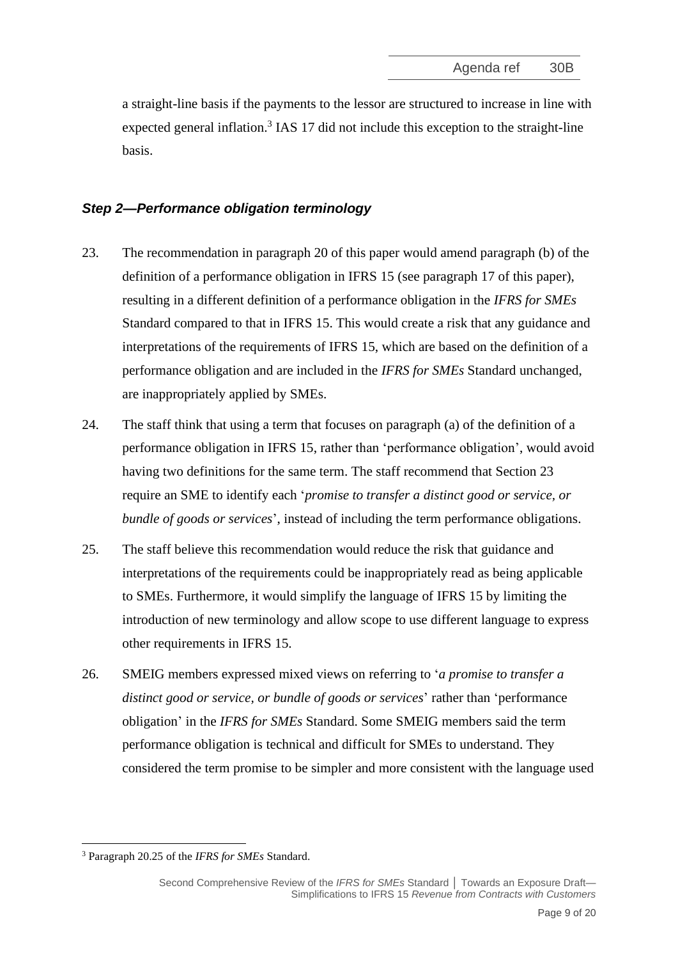a straight-line basis if the payments to the lessor are structured to increase in line with expected general inflation.<sup>3</sup> IAS 17 did not include this exception to the straight-line basis.

## *Step 2—Performance obligation terminology*

- <span id="page-8-0"></span>23. The recommendation in paragraph [20](#page-7-1) of this paper would amend paragraph (b) of the definition of a performance obligation in IFRS 15 (see paragraph [17](#page-6-1) of this paper), resulting in a different definition of a performance obligation in the *IFRS for SMEs* Standard compared to that in IFRS 15. This would create a risk that any guidance and interpretations of the requirements of IFRS 15, which are based on the definition of a performance obligation and are included in the *IFRS for SMEs* Standard unchanged, are inappropriately applied by SMEs.
- 24. The staff think that using a term that focuses on paragraph (a) of the definition of a performance obligation in IFRS 15, rather than 'performance obligation', would avoid having two definitions for the same term. The staff recommend that Section 23 require an SME to identify each '*promise to transfer a distinct good or service, or bundle of goods or services*', instead of including the term performance obligations.
- 25. The staff believe this recommendation would reduce the risk that guidance and interpretations of the requirements could be inappropriately read as being applicable to SMEs. Furthermore, it would simplify the language of IFRS 15 by limiting the introduction of new terminology and allow scope to use different language to express other requirements in IFRS 15.
- 26. SMEIG members expressed mixed views on referring to '*a promise to transfer a distinct good or service, or bundle of goods or services*' rather than 'performance obligation' in the *IFRS for SMEs* Standard. Some SMEIG members said the term performance obligation is technical and difficult for SMEs to understand. They considered the term promise to be simpler and more consistent with the language used

<sup>3</sup> Paragraph 20.25 of the *IFRS for SMEs* Standard.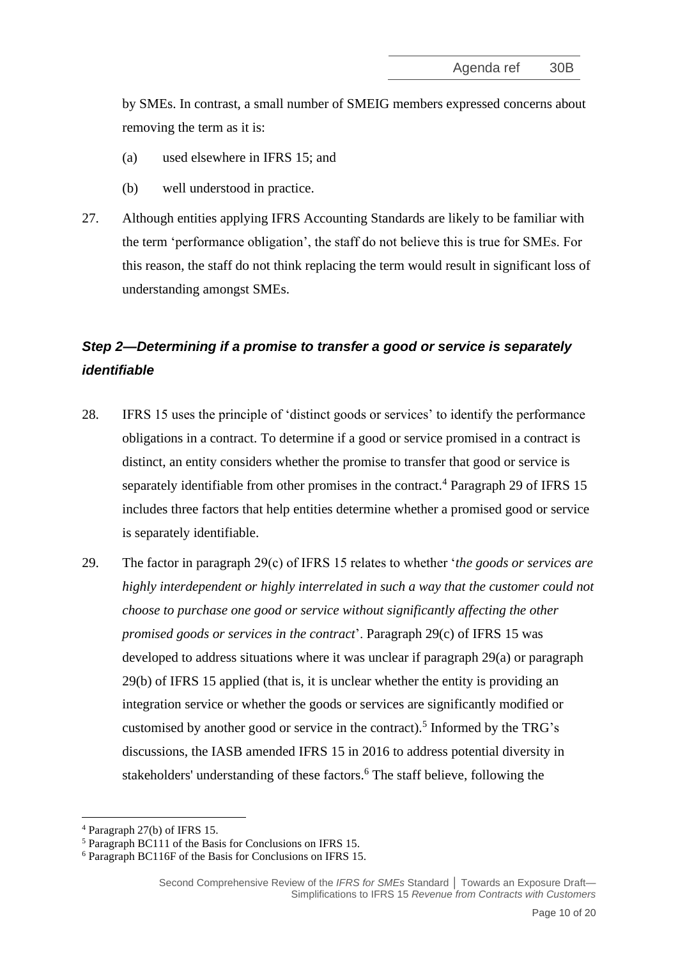by SMEs. In contrast, a small number of SMEIG members expressed concerns about removing the term as it is:

- (a) used elsewhere in IFRS 15; and
- (b) well understood in practice.
- <span id="page-9-0"></span>27. Although entities applying IFRS Accounting Standards are likely to be familiar with the term 'performance obligation', the staff do not believe this is true for SMEs. For this reason, the staff do not think replacing the term would result in significant loss of understanding amongst SMEs.

# *Step 2—Determining if a promise to transfer a good or service is separately identifiable*

- <span id="page-9-1"></span>28. IFRS 15 uses the principle of 'distinct goods or services' to identify the performance obligations in a contract. To determine if a good or service promised in a contract is distinct, an entity considers whether the promise to transfer that good or service is separately identifiable from other promises in the contract.<sup>4</sup> Paragraph 29 of IFRS 15 includes three factors that help entities determine whether a promised good or service is separately identifiable.
- 29. The factor in paragraph 29(c) of IFRS 15 relates to whether '*the goods or services are highly interdependent or highly interrelated in such a way that the customer could not choose to purchase one good or service without significantly affecting the other promised goods or services in the contract*'. Paragraph 29(c) of IFRS 15 was developed to address situations where it was unclear if paragraph 29(a) or paragraph 29(b) of IFRS 15 applied (that is, it is unclear whether the entity is providing an integration service or whether the goods or services are significantly modified or customised by another good or service in the contract).<sup>5</sup> Informed by the TRG's discussions, the IASB amended IFRS 15 in 2016 to address potential diversity in stakeholders' understanding of these factors. <sup>6</sup> The staff believe, following the

<sup>4</sup> Paragraph 27(b) of IFRS 15.

<sup>5</sup> Paragraph BC111 of the Basis for Conclusions on IFRS 15.

<sup>6</sup> Paragraph BC116F of the Basis for Conclusions on IFRS 15.

Second Comprehensive Review of the *IFRS for SMEs* Standard **│** Towards an Exposure Draft— Simplifications to IFRS 15 *Revenue from Contracts with Customers*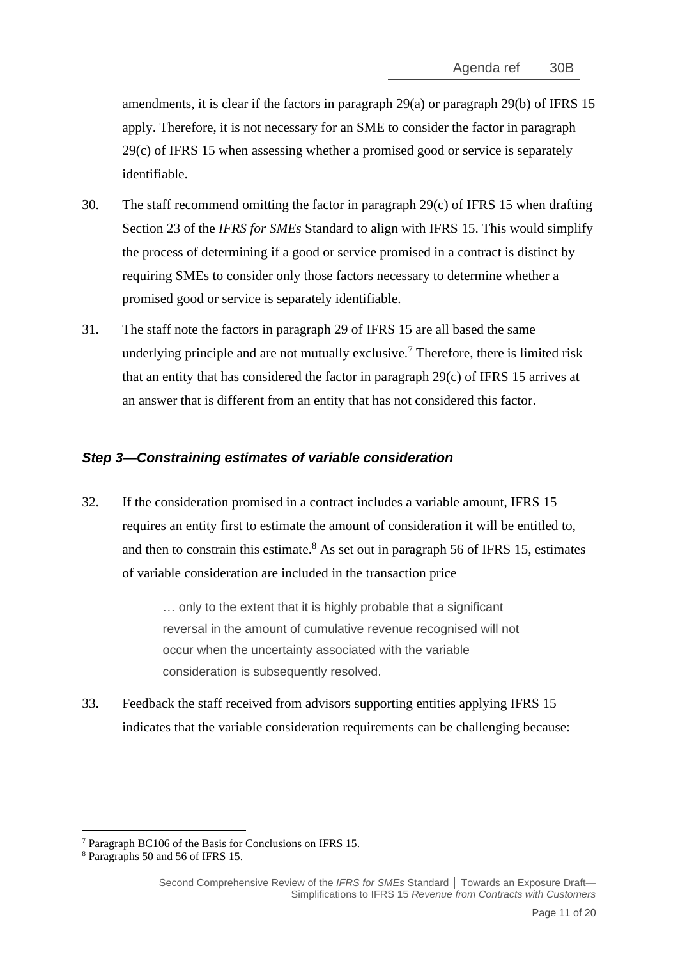amendments, it is clear if the factors in paragraph 29(a) or paragraph 29(b) of IFRS 15 apply. Therefore, it is not necessary for an SME to consider the factor in paragraph 29(c) of IFRS 15 when assessing whether a promised good or service is separately identifiable.

- 30. The staff recommend omitting the factor in paragraph 29(c) of IFRS 15 when drafting Section 23 of the *IFRS for SMEs* Standard to align with IFRS 15. This would simplify the process of determining if a good or service promised in a contract is distinct by requiring SMEs to consider only those factors necessary to determine whether a promised good or service is separately identifiable.
- <span id="page-10-0"></span>31. The staff note the factors in paragraph 29 of IFRS 15 are all based the same underlying principle and are not mutually exclusive.<sup>7</sup> Therefore, there is limited risk that an entity that has considered the factor in paragraph 29(c) of IFRS 15 arrives at an answer that is different from an entity that has not considered this factor.

## *Step 3—Constraining estimates of variable consideration*

<span id="page-10-1"></span>32. If the consideration promised in a contract includes a variable amount, IFRS 15 requires an entity first to estimate the amount of consideration it will be entitled to, and then to constrain this estimate.<sup>8</sup> As set out in paragraph 56 of IFRS 15, estimates of variable consideration are included in the transaction price

> … only to the extent that it is highly probable that a significant reversal in the amount of cumulative revenue recognised will not occur when the uncertainty associated with the variable consideration is subsequently resolved.

33. Feedback the staff received from advisors supporting entities applying IFRS 15 indicates that the variable consideration requirements can be challenging because:

<sup>7</sup> Paragraph BC106 of the Basis for Conclusions on IFRS 15.

<sup>8</sup> Paragraphs 50 and 56 of IFRS 15.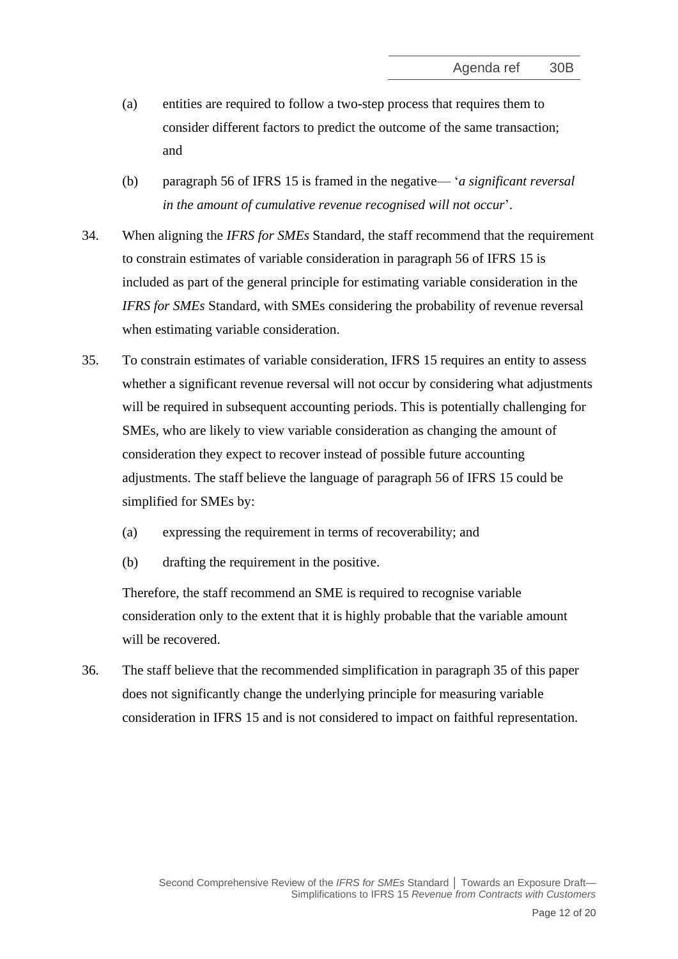- (a) entities are required to follow a two-step process that requires them to consider different factors to predict the outcome of the same transaction; and
- (b) paragraph 56 of IFRS 15 is framed in the negative— '*a significant reversal in the amount of cumulative revenue recognised will not occur*'.
- 34. When aligning the *IFRS for SMEs* Standard, the staff recommend that the requirement to constrain estimates of variable consideration in paragraph 56 of IFRS 15 is included as part of the general principle for estimating variable consideration in the *IFRS for SMEs* Standard, with SMEs considering the probability of revenue reversal when estimating variable consideration.
- <span id="page-11-1"></span>35. To constrain estimates of variable consideration, IFRS 15 requires an entity to assess whether a significant revenue reversal will not occur by considering what adjustments will be required in subsequent accounting periods. This is potentially challenging for SMEs, who are likely to view variable consideration as changing the amount of consideration they expect to recover instead of possible future accounting adjustments. The staff believe the language of paragraph 56 of IFRS 15 could be simplified for SMEs by:
	- (a) expressing the requirement in terms of recoverability; and
	- (b) drafting the requirement in the positive.

Therefore, the staff recommend an SME is required to recognise variable consideration only to the extent that it is highly probable that the variable amount will be recovered.

<span id="page-11-0"></span>36. The staff believe that the recommended simplification in paragraph [35](#page-11-1) of this paper does not significantly change the underlying principle for measuring variable consideration in IFRS 15 and is not considered to impact on faithful representation.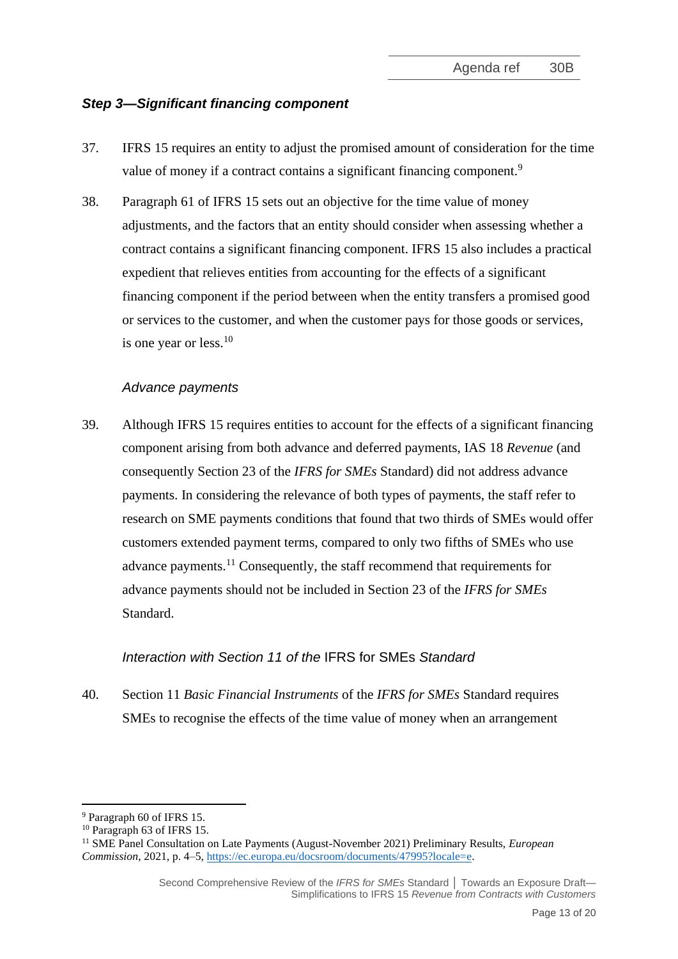## *Step 3—Significant financing component*

- <span id="page-12-0"></span>37. IFRS 15 requires an entity to adjust the promised amount of consideration for the time value of money if a contract contains a significant financing component.<sup>9</sup>
- <span id="page-12-1"></span>38. Paragraph 61 of IFRS 15 sets out an objective for the time value of money adjustments, and the factors that an entity should consider when assessing whether a contract contains a significant financing component. IFRS 15 also includes a practical expedient that relieves entities from accounting for the effects of a significant financing component if the period between when the entity transfers a promised good or services to the customer, and when the customer pays for those goods or services, is one year or less. $10$

#### *Advance payments*

39. Although IFRS 15 requires entities to account for the effects of a significant financing component arising from both advance and deferred payments, IAS 18 *Revenue* (and consequently Section 23 of the *IFRS for SMEs* Standard) did not address advance payments. In considering the relevance of both types of payments, the staff refer to research on SME payments conditions that found that two thirds of SMEs would offer customers extended payment terms, compared to only two fifths of SMEs who use advance payments.<sup>11</sup> Consequently, the staff recommend that requirements for advance payments should not be included in Section 23 of the *IFRS for SMEs* Standard.

## *Interaction with Section 11 of the* IFRS for SMEs *Standard*

40. Section 11 *Basic Financial Instruments* of the *IFRS for SMEs* Standard requires SMEs to recognise the effects of the time value of money when an arrangement

<sup>9</sup> Paragraph 60 of IFRS 15.

<sup>&</sup>lt;sup>10</sup> Paragraph 63 of IFRS 15.

<sup>11</sup> SME Panel Consultation on Late Payments (August-November 2021) Preliminary Results, *European Commission*, 2021, p. 4*–*5[, https://ec.europa.eu/docsroom/documents/47995?locale=e.](https://ec.europa.eu/docsroom/documents/47995?locale=e)

Second Comprehensive Review of the *IFRS for SMEs* Standard **│** Towards an Exposure Draft— Simplifications to IFRS 15 *Revenue from Contracts with Customers*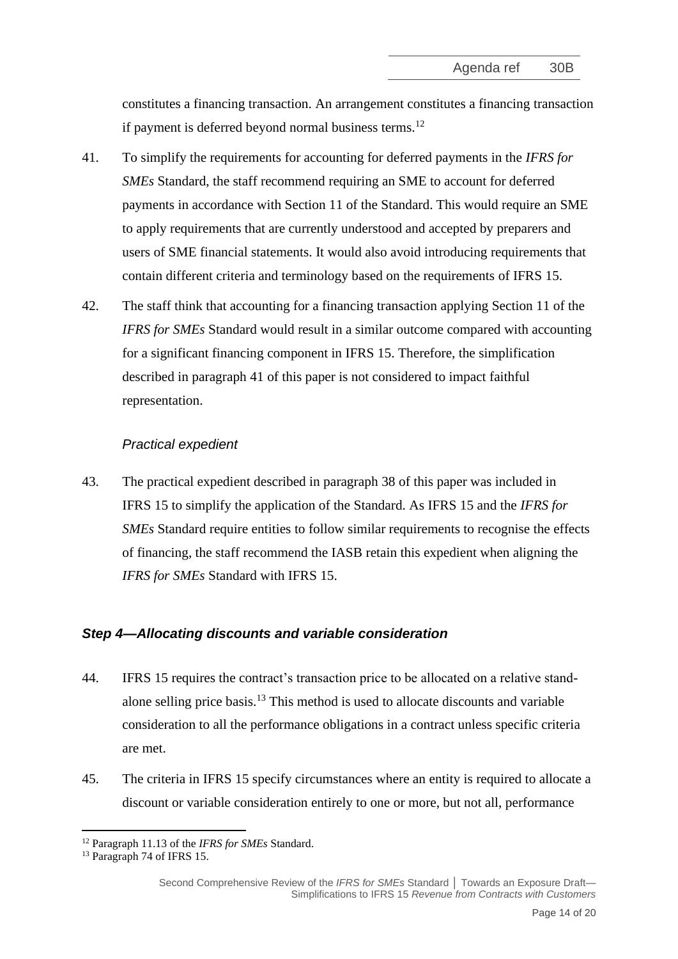constitutes a financing transaction. An arrangement constitutes a financing transaction if payment is deferred beyond normal business terms.<sup>12</sup>

- <span id="page-13-2"></span>41. To simplify the requirements for accounting for deferred payments in the *IFRS for SMEs* Standard, the staff recommend requiring an SME to account for deferred payments in accordance with Section 11 of the Standard. This would require an SME to apply requirements that are currently understood and accepted by preparers and users of SME financial statements. It would also avoid introducing requirements that contain different criteria and terminology based on the requirements of IFRS 15.
- 42. The staff think that accounting for a financing transaction applying Section 11 of the *IFRS for SMEs* Standard would result in a similar outcome compared with accounting for a significant financing component in IFRS 15. Therefore, the simplification described in paragraph [41](#page-13-2) of this paper is not considered to impact faithful representation.

## *Practical expedient*

<span id="page-13-0"></span>43. The practical expedient described in paragraph [38](#page-12-1) of this paper was included in IFRS 15 to simplify the application of the Standard. As IFRS 15 and the *IFRS for SMEs* Standard require entities to follow similar requirements to recognise the effects of financing, the staff recommend the IASB retain this expedient when aligning the *IFRS for SMEs* Standard with IFRS 15.

# *Step 4—Allocating discounts and variable consideration*

- <span id="page-13-1"></span>44. IFRS 15 requires the contract's transaction price to be allocated on a relative standalone selling price basis.<sup>13</sup> This method is used to allocate discounts and variable consideration to all the performance obligations in a contract unless specific criteria are met.
- 45. The criteria in IFRS 15 specify circumstances where an entity is required to allocate a discount or variable consideration entirely to one or more, but not all, performance

<sup>12</sup> Paragraph 11.13 of the *IFRS for SMEs* Standard.

<sup>&</sup>lt;sup>13</sup> Paragraph 74 of IFRS 15.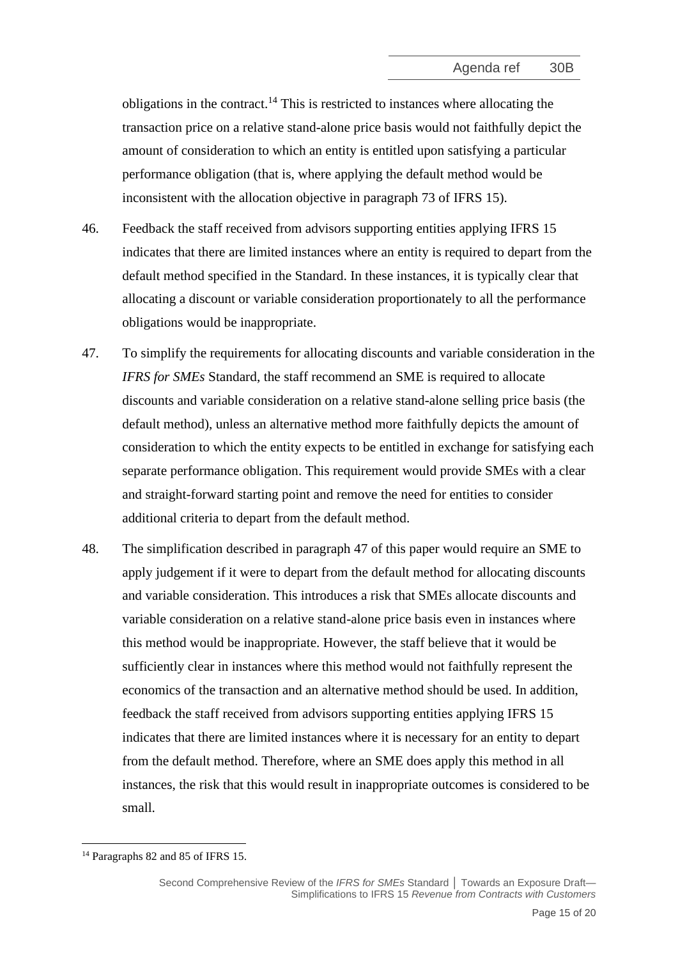obligations in the contract.<sup>14</sup> This is restricted to instances where allocating the transaction price on a relative stand-alone price basis would not faithfully depict the amount of consideration to which an entity is entitled upon satisfying a particular performance obligation (that is, where applying the default method would be inconsistent with the allocation objective in paragraph 73 of IFRS 15).

- 46. Feedback the staff received from advisors supporting entities applying IFRS 15 indicates that there are limited instances where an entity is required to depart from the default method specified in the Standard. In these instances, it is typically clear that allocating a discount or variable consideration proportionately to all the performance obligations would be inappropriate.
- <span id="page-14-1"></span>47. To simplify the requirements for allocating discounts and variable consideration in the *IFRS for SMEs* Standard, the staff recommend an SME is required to allocate discounts and variable consideration on a relative stand-alone selling price basis (the default method), unless an alternative method more faithfully depicts the amount of consideration to which the entity expects to be entitled in exchange for satisfying each separate performance obligation. This requirement would provide SMEs with a clear and straight-forward starting point and remove the need for entities to consider additional criteria to depart from the default method.
- <span id="page-14-0"></span>48. The simplification described in paragraph [47](#page-14-1) of this paper would require an SME to apply judgement if it were to depart from the default method for allocating discounts and variable consideration. This introduces a risk that SMEs allocate discounts and variable consideration on a relative stand-alone price basis even in instances where this method would be inappropriate. However, the staff believe that it would be sufficiently clear in instances where this method would not faithfully represent the economics of the transaction and an alternative method should be used. In addition, feedback the staff received from advisors supporting entities applying IFRS 15 indicates that there are limited instances where it is necessary for an entity to depart from the default method. Therefore, where an SME does apply this method in all instances, the risk that this would result in inappropriate outcomes is considered to be small.

<sup>&</sup>lt;sup>14</sup> Paragraphs 82 and 85 of IFRS 15.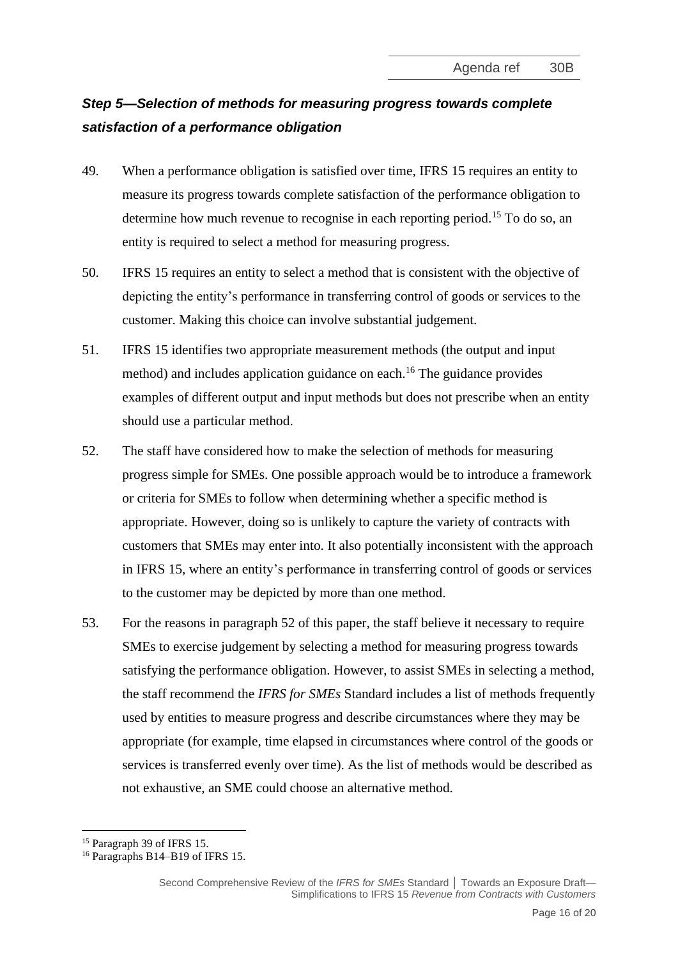# *Step 5—Selection of methods for measuring progress towards complete satisfaction of a performance obligation*

- <span id="page-15-0"></span>49. When a performance obligation is satisfied over time, IFRS 15 requires an entity to measure its progress towards complete satisfaction of the performance obligation to determine how much revenue to recognise in each reporting period.<sup>15</sup> To do so, an entity is required to select a method for measuring progress.
- 50. IFRS 15 requires an entity to select a method that is consistent with the objective of depicting the entity's performance in transferring control of goods or services to the customer. Making this choice can involve substantial judgement.
- 51. IFRS 15 identifies two appropriate measurement methods (the output and input method) and includes application guidance on each.<sup>16</sup> The guidance provides examples of different output and input methods but does not prescribe when an entity should use a particular method.
- <span id="page-15-1"></span>52. The staff have considered how to make the selection of methods for measuring progress simple for SMEs. One possible approach would be to introduce a framework or criteria for SMEs to follow when determining whether a specific method is appropriate. However, doing so is unlikely to capture the variety of contracts with customers that SMEs may enter into. It also potentially inconsistent with the approach in IFRS 15, where an entity's performance in transferring control of goods or services to the customer may be depicted by more than one method.
- 53. For the reasons in paragraph [52](#page-15-1) of this paper, the staff believe it necessary to require SMEs to exercise judgement by selecting a method for measuring progress towards satisfying the performance obligation. However, to assist SMEs in selecting a method, the staff recommend the *IFRS for SMEs* Standard includes a list of methods frequently used by entities to measure progress and describe circumstances where they may be appropriate (for example, time elapsed in circumstances where control of the goods or services is transferred evenly over time). As the list of methods would be described as not exhaustive, an SME could choose an alternative method.

<sup>15</sup> Paragraph 39 of IFRS 15.

<sup>16</sup> Paragraphs B14–B19 of IFRS 15.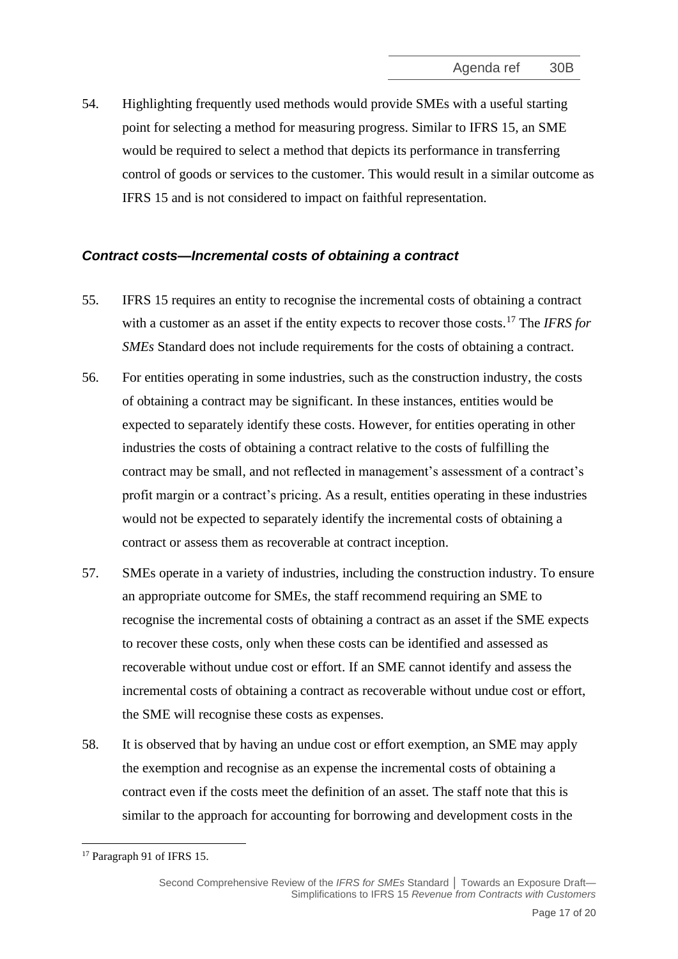<span id="page-16-0"></span>54. Highlighting frequently used methods would provide SMEs with a useful starting point for selecting a method for measuring progress. Similar to IFRS 15, an SME would be required to select a method that depicts its performance in transferring control of goods or services to the customer. This would result in a similar outcome as IFRS 15 and is not considered to impact on faithful representation.

## *Contract costs—Incremental costs of obtaining a contract*

- <span id="page-16-1"></span>55. IFRS 15 requires an entity to recognise the incremental costs of obtaining a contract with a customer as an asset if the entity expects to recover those costs.<sup>17</sup> The *IFRS for SMEs* Standard does not include requirements for the costs of obtaining a contract.
- 56. For entities operating in some industries, such as the construction industry, the costs of obtaining a contract may be significant. In these instances, entities would be expected to separately identify these costs. However, for entities operating in other industries the costs of obtaining a contract relative to the costs of fulfilling the contract may be small, and not reflected in management's assessment of a contract's profit margin or a contract's pricing. As a result, entities operating in these industries would not be expected to separately identify the incremental costs of obtaining a contract or assess them as recoverable at contract inception.
- 57. SMEs operate in a variety of industries, including the construction industry. To ensure an appropriate outcome for SMEs, the staff recommend requiring an SME to recognise the incremental costs of obtaining a contract as an asset if the SME expects to recover these costs, only when these costs can be identified and assessed as recoverable without undue cost or effort. If an SME cannot identify and assess the incremental costs of obtaining a contract as recoverable without undue cost or effort, the SME will recognise these costs as expenses.
- 58. It is observed that by having an undue cost or effort exemption, an SME may apply the exemption and recognise as an expense the incremental costs of obtaining a contract even if the costs meet the definition of an asset. The staff note that this is similar to the approach for accounting for borrowing and development costs in the

<sup>&</sup>lt;sup>17</sup> Paragraph 91 of IFRS 15.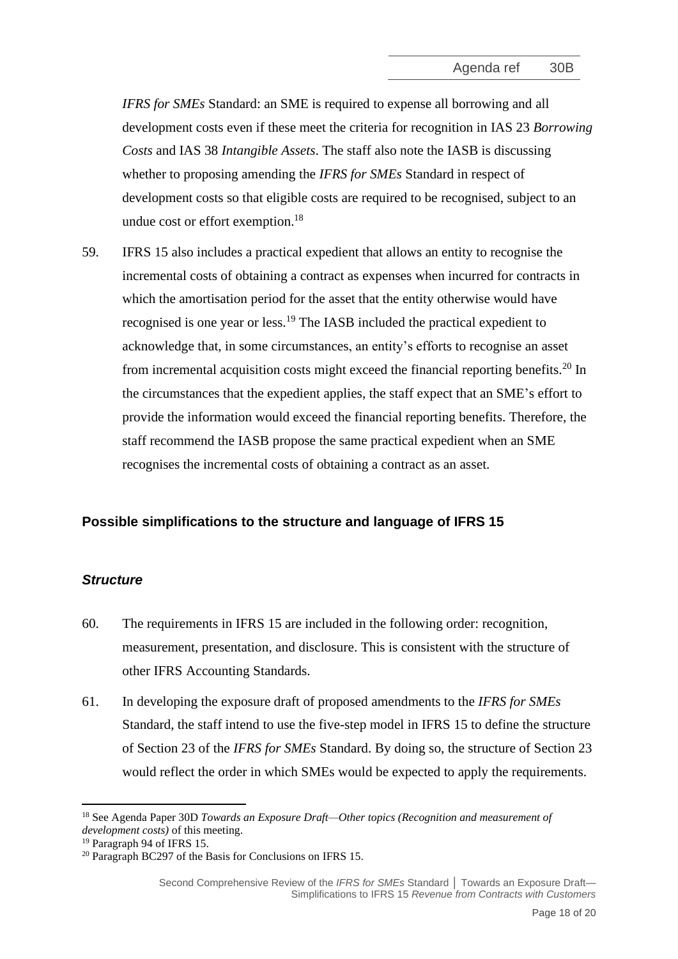*IFRS for SMEs* Standard: an SME is required to expense all borrowing and all development costs even if these meet the criteria for recognition in IAS 23 *Borrowing Costs* and IAS 38 *Intangible Assets*. The staff also note the IASB is discussing whether to proposing amending the *IFRS for SMEs* Standard in respect of development costs so that eligible costs are required to be recognised, subject to an undue cost or effort exemption.<sup>18</sup>

<span id="page-17-0"></span>59. IFRS 15 also includes a practical expedient that allows an entity to recognise the incremental costs of obtaining a contract as expenses when incurred for contracts in which the amortisation period for the asset that the entity otherwise would have recognised is one year or less.<sup>19</sup> The IASB included the practical expedient to acknowledge that, in some circumstances, an entity's efforts to recognise an asset from incremental acquisition costs might exceed the financial reporting benefits.<sup>20</sup> In the circumstances that the expedient applies, the staff expect that an SME's effort to provide the information would exceed the financial reporting benefits. Therefore, the staff recommend the IASB propose the same practical expedient when an SME recognises the incremental costs of obtaining a contract as an asset.

## **Possible simplifications to the structure and language of IFRS 15**

#### *Structure*

- <span id="page-17-1"></span>60. The requirements in IFRS 15 are included in the following order: recognition, measurement, presentation, and disclosure. This is consistent with the structure of other IFRS Accounting Standards.
- 61. In developing the exposure draft of proposed amendments to the *IFRS for SMEs* Standard, the staff intend to use the five-step model in IFRS 15 to define the structure of Section 23 of the *IFRS for SMEs* Standard. By doing so, the structure of Section 23 would reflect the order in which SMEs would be expected to apply the requirements.

<sup>18</sup> See Agenda Paper 30D *Towards an Exposure Draft—Other topics (Recognition and measurement of development costs)* of this meeting.

<sup>&</sup>lt;sup>19</sup> Paragraph 94 of IFRS 15.

<sup>20</sup> Paragraph BC297 of the Basis for Conclusions on IFRS 15.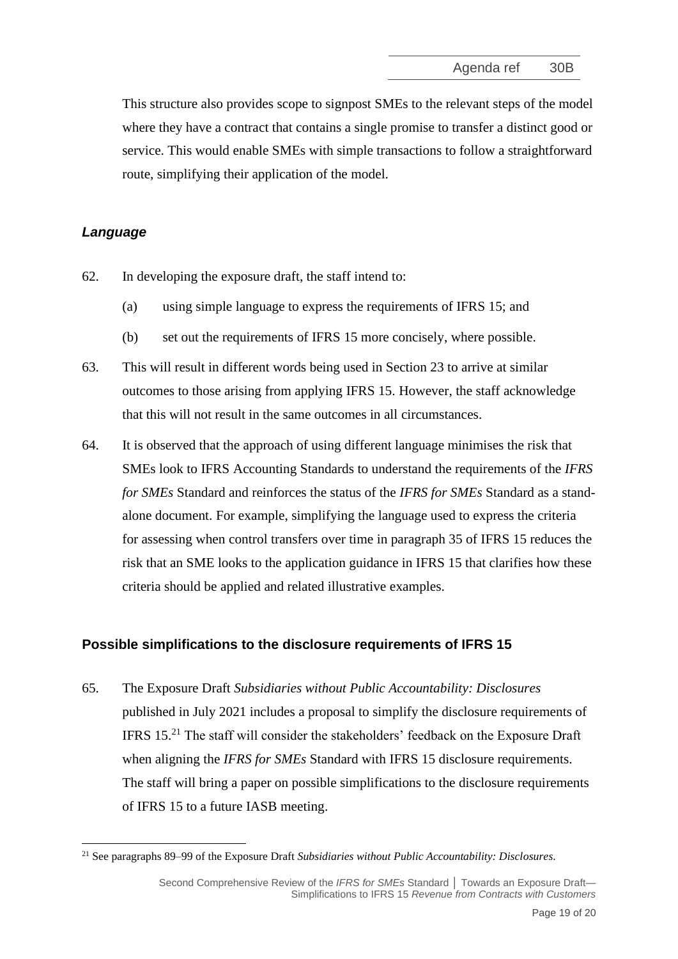This structure also provides scope to signpost SMEs to the relevant steps of the model where they have a contract that contains a single promise to transfer a distinct good or service. This would enable SMEs with simple transactions to follow a straightforward route, simplifying their application of the model.

# *Language*

- 62. In developing the exposure draft, the staff intend to:
	- (a) using simple language to express the requirements of IFRS 15; and
	- (b) set out the requirements of IFRS 15 more concisely, where possible.
- 63. This will result in different words being used in Section 23 to arrive at similar outcomes to those arising from applying IFRS 15. However, the staff acknowledge that this will not result in the same outcomes in all circumstances.
- <span id="page-18-0"></span>64. It is observed that the approach of using different language minimises the risk that SMEs look to IFRS Accounting Standards to understand the requirements of the *IFRS for SMEs* Standard and reinforces the status of the *IFRS for SMEs* Standard as a standalone document. For example, simplifying the language used to express the criteria for assessing when control transfers over time in paragraph 35 of IFRS 15 reduces the risk that an SME looks to the application guidance in IFRS 15 that clarifies how these criteria should be applied and related illustrative examples.

# **Possible simplifications to the disclosure requirements of IFRS 15**

<span id="page-18-1"></span>65. The Exposure Draft *Subsidiaries without Public Accountability: Disclosures* published in July 2021 includes a proposal to simplify the disclosure requirements of IFRS 15.<sup>21</sup> The staff will consider the stakeholders' feedback on the Exposure Draft when aligning the *IFRS for SMEs* Standard with IFRS 15 disclosure requirements. The staff will bring a paper on possible simplifications to the disclosure requirements of IFRS 15 to a future IASB meeting.

<sup>21</sup> See paragraphs 89–99 of the Exposure Draft *Subsidiaries without Public Accountability: Disclosures*.

Second Comprehensive Review of the IFRS for SMEs Standard | Towards an Exposure Draft-Simplifications to IFRS 15 *Revenue from Contracts with Customers*